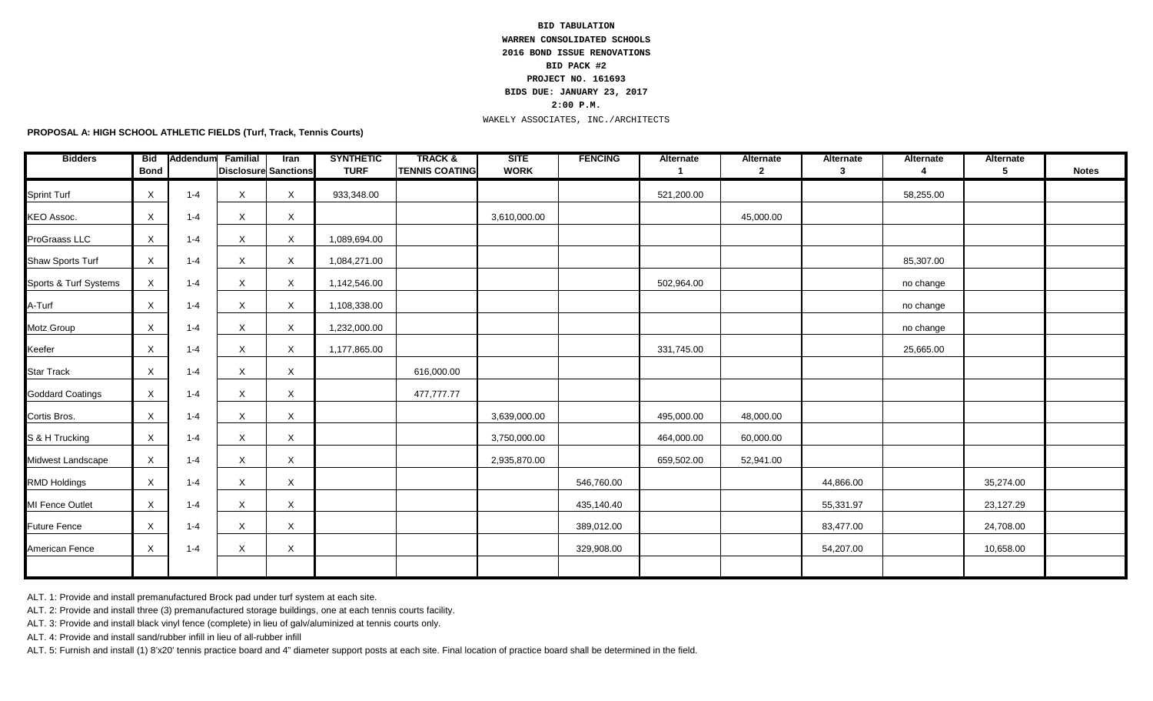## **2:00 P.M. BID TABULATION WARREN CONSOLIDATED SCHOOLS 2016 BOND ISSUE RENOVATIONS BID PACK #2 PROJECT NO. 161693 BIDS DUE: JANUARY 23, 2017**

## WAKELY ASSOCIATES, INC./ARCHITECTS

**PROPOSAL A: HIGH SCHOOL ATHLETIC FIELDS (Turf, Track, Tennis Courts)**

| <b>Bidders</b>          | <b>Bid</b><br><b>Bond</b> | Addendum | Familial<br><b>Disclosure Sanctions</b> | <b>Iran</b> | <b>SYNTHETIC</b><br><b>TURF</b> | <b>TRACK&amp;</b><br><b>TENNIS COATING</b> | <b>SITE</b><br><b>WORK</b> | <b>FENCING</b> | Alternate<br>-1 | Alternate<br>$\mathbf{2}$ | Alternate<br>$\mathbf{3}$ | Alternate<br>4 | Alternate<br>5 | <b>Notes</b> |
|-------------------------|---------------------------|----------|-----------------------------------------|-------------|---------------------------------|--------------------------------------------|----------------------------|----------------|-----------------|---------------------------|---------------------------|----------------|----------------|--------------|
| <b>Sprint Turf</b>      | $\boldsymbol{\mathsf{X}}$ | $1 - 4$  | $\times$                                | X           | 933,348.00                      |                                            |                            |                | 521,200.00      |                           |                           | 58,255.00      |                |              |
| <b>KEO Assoc.</b>       | Χ                         | $1 - 4$  | X                                       | X           |                                 |                                            | 3,610,000.00               |                |                 | 45,000.00                 |                           |                |                |              |
| ProGraass LLC           | X                         | 1-4      | X                                       | X           | 1,089,694.00                    |                                            |                            |                |                 |                           |                           |                |                |              |
| Shaw Sports Turf        | X                         | 1-4      | $\mathsf{X}$                            | X           | 1,084,271.00                    |                                            |                            |                |                 |                           |                           | 85,307.00      |                |              |
| Sports & Turf Systems   | X                         | $1 - 4$  | X                                       | X           | 1,142,546.00                    |                                            |                            |                | 502,964.00      |                           |                           | no change      |                |              |
| A-Turf                  | X                         | $1 - 4$  | X                                       | X           | 1,108,338.00                    |                                            |                            |                |                 |                           |                           | no change      |                |              |
| Motz Group              | X                         | $1 - 4$  | X                                       | X           | 1,232,000.00                    |                                            |                            |                |                 |                           |                           | no change      |                |              |
| Keefer                  | X                         | $1 - 4$  | X                                       | $\mathsf X$ | 1,177,865.00                    |                                            |                            |                | 331,745.00      |                           |                           | 25,665.00      |                |              |
| <b>Star Track</b>       | X                         | $1 - 4$  | X                                       | X           |                                 | 616,000.00                                 |                            |                |                 |                           |                           |                |                |              |
| <b>Goddard Coatings</b> | $\times$                  | $1 - 4$  | X                                       | X           |                                 | 477,777.77                                 |                            |                |                 |                           |                           |                |                |              |
| Cortis Bros.            | $\times$                  | 1-4      | X                                       | X           |                                 |                                            | 3,639,000.00               |                | 495,000.00      | 48,000.00                 |                           |                |                |              |
| S & H Trucking          | $\times$                  | $1 - 4$  | X                                       | X           |                                 |                                            | 3,750,000.00               |                | 464,000.00      | 60,000.00                 |                           |                |                |              |
| Midwest Landscape       | $\boldsymbol{\mathsf{X}}$ | $1 - 4$  | $\times$                                | X           |                                 |                                            | 2,935,870.00               |                | 659,502.00      | 52,941.00                 |                           |                |                |              |
| <b>RMD Holdings</b>     | $\boldsymbol{\mathsf{X}}$ | $1 - 4$  | X                                       | X           |                                 |                                            |                            | 546,760.00     |                 |                           | 44,866.00                 |                | 35,274.00      |              |
| MI Fence Outlet         | $\boldsymbol{\mathsf{X}}$ | $1 - 4$  | X                                       | X           |                                 |                                            |                            | 435,140.40     |                 |                           | 55,331.97                 |                | 23,127.29      |              |
| <b>Future Fence</b>     | X                         | $1 - 4$  | X                                       | X           |                                 |                                            |                            | 389,012.00     |                 |                           | 83,477.00                 |                | 24,708.00      |              |
| American Fence          | Χ                         | $1 - 4$  | X                                       | X           |                                 |                                            |                            | 329,908.00     |                 |                           | 54,207.00                 |                | 10,658.00      |              |
|                         |                           |          |                                         |             |                                 |                                            |                            |                |                 |                           |                           |                |                |              |

ALT. 1: Provide and install premanufactured Brock pad under turf system at each site.

ALT. 2: Provide and install three (3) premanufactured storage buildings, one at each tennis courts facility.

ALT. 3: Provide and install black vinyl fence (complete) in lieu of galv/aluminized at tennis courts only.

ALT. 4: Provide and install sand/rubber infill in lieu of all-rubber infill

ALT. 5: Furnish and install (1) 8'x20' tennis practice board and 4" diameter support posts at each site. Final location of practice board shall be determined in the field.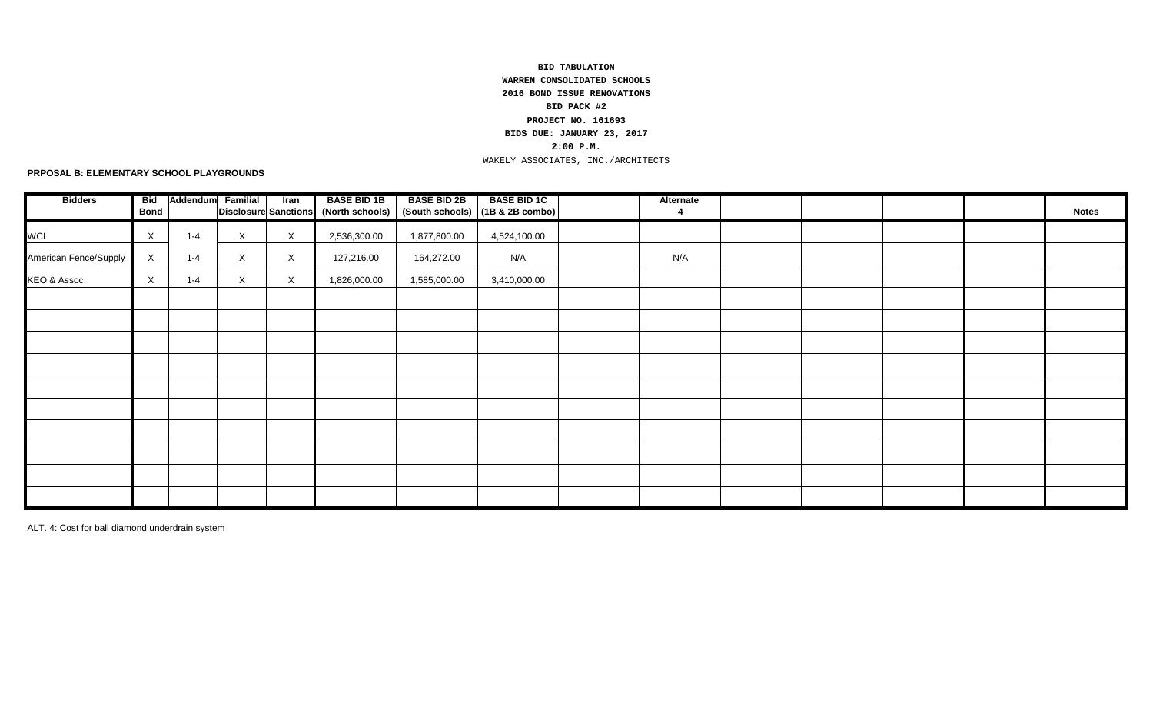## **2:00 P.M.** WAKELY ASSOCIATES, INC./ARCHITECTS **BID TABULATION WARREN CONSOLIDATED SCHOOLS 2016 BOND ISSUE RENOVATIONS BID PACK #2 PROJECT NO. 161693 BIDS DUE: JANUARY 23, 2017**

**PRPOSAL B: ELEMENTARY SCHOOL PLAYGROUNDS**

| <b>Bidders</b>        | Bid<br><b>Bond</b>        | Addendum | <b>Familial</b> | Iran         | <b>BASE BID 1B</b> | <b>BASE BID 2B</b> | <b>BASE BID 1C</b><br>Disclosure Sanctions (North schools)   (South schools)   (1B & 2B combo) | Alternate<br>4 |  |  | <b>Notes</b> |
|-----------------------|---------------------------|----------|-----------------|--------------|--------------------|--------------------|------------------------------------------------------------------------------------------------|----------------|--|--|--------------|
|                       |                           |          |                 |              |                    |                    |                                                                                                |                |  |  |              |
| WCI                   | $\boldsymbol{\mathsf{X}}$ | $1 - 4$  | $\times$        | $\mathsf{X}$ | 2,536,300.00       | 1,877,800.00       | 4,524,100.00                                                                                   |                |  |  |              |
| American Fence/Supply | X                         | $1 - 4$  | $\mathsf{X}$    | X            | 127,216.00         | 164,272.00         | N/A                                                                                            | N/A            |  |  |              |
| KEO & Assoc.          | $\boldsymbol{\mathsf{X}}$ | $1 - 4$  | $\mathsf X$     | $\mathsf{X}$ | 1,826,000.00       | 1,585,000.00       | 3,410,000.00                                                                                   |                |  |  |              |
|                       |                           |          |                 |              |                    |                    |                                                                                                |                |  |  |              |
|                       |                           |          |                 |              |                    |                    |                                                                                                |                |  |  |              |
|                       |                           |          |                 |              |                    |                    |                                                                                                |                |  |  |              |
|                       |                           |          |                 |              |                    |                    |                                                                                                |                |  |  |              |
|                       |                           |          |                 |              |                    |                    |                                                                                                |                |  |  |              |
|                       |                           |          |                 |              |                    |                    |                                                                                                |                |  |  |              |
|                       |                           |          |                 |              |                    |                    |                                                                                                |                |  |  |              |
|                       |                           |          |                 |              |                    |                    |                                                                                                |                |  |  |              |
|                       |                           |          |                 |              |                    |                    |                                                                                                |                |  |  |              |
|                       |                           |          |                 |              |                    |                    |                                                                                                |                |  |  |              |

ALT. 4: Cost for ball diamond underdrain system